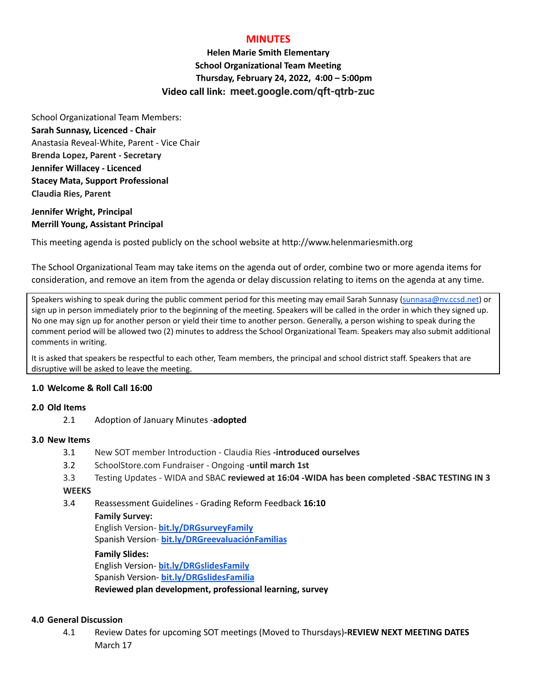# **MINUTES**

**Helen Marie Smith Elementary School Organizational Team Meeting Thursday, February 24, 2022, 4:00 – 5:00pm Video call link: meet.google.com/qft-qtrb-zuc**

School Organizational Team Members: **Sarah Sunnasy, Licenced - Chair** Anastasia Reveal-White, Parent - Vice Chair **Brenda Lopez, Parent - Secretary Jennifer Willacey - Licenced Stacey Mata, Support Professional Claudia Ries, Parent**

# **Jennifer Wright, Principal Merrill Young, Assistant Principal**

This meeting agenda is posted publicly on the school website at http://www.helenmariesmith.org

The School Organizational Team may take items on the agenda out of order, combine two or more agenda items for consideration, and remove an item from the agenda or delay discussion relating to items on the agenda at any time.

Speakers wishing to speak during the public comment period for this meeting may email Sarah Sunnasy [\(sunnasa@nv.ccsd.net](mailto:sunnasa@nv.ccsd.net)) or sign up in person immediately prior to the beginning of the meeting. Speakers will be called in the order in which they signed up. No one may sign up for another person or yield their time to another person. Generally, a person wishing to speak during the comment period will be allowed two (2) minutes to address the School Organizational Team. Speakers may also submit additional comments in writing.

It is asked that speakers be respectful to each other, Team members, the principal and school district staff. Speakers that are disruptive will be asked to leave the meeting.

# **1.0 Welcome & Roll Call 16:00**

## **2.0 Old Items**

2.1 Adoption of January Minutes -**adopted**

## **3.0 New Items**

- 3.1 New SOT member Introduction Claudia Ries **-introduced ourselves**
- 3.2 SchoolStore.com Fundraiser Ongoing -**until march 1st**
- 3.3 Testing Updates WIDA and SBAC **reviewed at 16:04 -WIDA has been completed -SBAC TESTING IN 3**

## **WEEKS**

3.4 Reassessment Guidelines - Grading Reform Feedback **16:10**

#### **Family Survey:**

English Version- **[bit.ly/DRGsurveyFamily](https://bit.ly/DRGsurveyFamily)** Spanish Version- **[bit.ly/DRGreevaluaciónFamilias](https://bit.ly/DRGreevaluaci%C3%B3nFamilias)**

## **Family Slides:**

English Version- **[bit.ly/DRGslidesFamily](http://bit.ly/DRGslidesFamily)** Spanish Version- **[bit.ly/DRGslidesFamilia](http://bit.ly/DRGslidesFamilia) Reviewed plan development, professional learning, survey**

## **4.0 General Discussion**

4.1 Review Dates for upcoming SOT meetings (Moved to Thursdays)**-REVIEW NEXT MEETING DATES** March 17